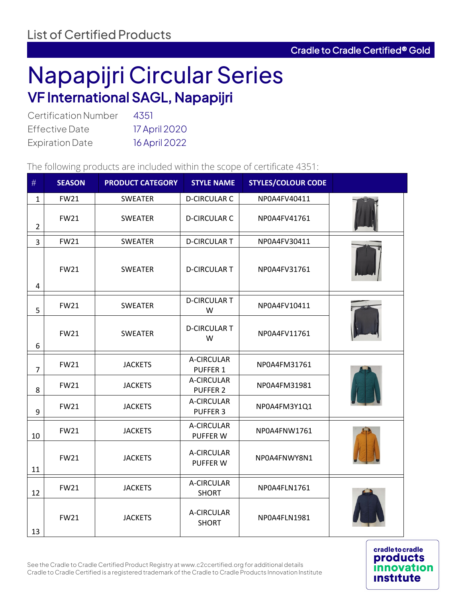## Napapijri Circular Series VF International SAGL, Napapijri

| <b>Certification Number</b> | 4351          |
|-----------------------------|---------------|
| <b>Effective Date</b>       | 17 April 2020 |
| <b>Expiration Date</b>      | 16 April 2022 |

The following products are included within the scope of certificate 4351:

| #                       | <b>SEASON</b> | <b>PRODUCT CATEGORY</b> | <b>STYLE NAME</b>             | <b>STYLES/COLOUR CODE</b> |  |
|-------------------------|---------------|-------------------------|-------------------------------|---------------------------|--|
| $\mathbf{1}$            | <b>FW21</b>   | <b>SWEATER</b>          | <b>D-CIRCULAR C</b>           | NP0A4FV40411              |  |
| $\overline{2}$          | <b>FW21</b>   | <b>SWEATER</b>          | <b>D-CIRCULAR C</b>           | NP0A4FV41761              |  |
| $\overline{3}$          | <b>FW21</b>   | <b>SWEATER</b>          | <b>D-CIRCULAR T</b>           | NP0A4FV30411              |  |
| $\overline{\mathbf{4}}$ | <b>FW21</b>   | <b>SWEATER</b>          | <b>D-CIRCULAR T</b>           | NP0A4FV31761              |  |
| 5                       | <b>FW21</b>   | <b>SWEATER</b>          | <b>D-CIRCULAR T</b><br>W      | NP0A4FV10411              |  |
| 6                       | <b>FW21</b>   | <b>SWEATER</b>          | <b>D-CIRCULAR T</b><br>W      | NP0A4FV11761              |  |
| $\overline{7}$          | <b>FW21</b>   | <b>JACKETS</b>          | A-CIRCULAR<br><b>PUFFER 1</b> | NP0A4FM31761              |  |
| 8                       | <b>FW21</b>   | <b>JACKETS</b>          | A-CIRCULAR<br><b>PUFFER 2</b> | NP0A4FM31981              |  |
| 9                       | <b>FW21</b>   | <b>JACKETS</b>          | A-CIRCULAR<br><b>PUFFER 3</b> | NP0A4FM3Y1Q1              |  |
| 10                      | <b>FW21</b>   | <b>JACKETS</b>          | A-CIRCULAR<br>PUFFER W        | NP0A4FNW1761              |  |
| 11                      | <b>FW21</b>   | <b>JACKETS</b>          | A-CIRCULAR<br>PUFFER W        | NP0A4FNWY8N1              |  |
| 12                      | <b>FW21</b>   | <b>JACKETS</b>          | A-CIRCULAR<br><b>SHORT</b>    | NP0A4FLN1761              |  |
| 13                      | <b>FW21</b>   | <b>JACKETS</b>          | A-CIRCULAR<br><b>SHORT</b>    | NP0A4FLN1981              |  |

**cradle to cradle products** on **Institute** 

See the Cradle to Cradle Certified Product Registry at www.c2ccertified.org for additional details Cradle to Cradle Certified is a registered trademark of the Cradle to Cradle Products Innovation Institute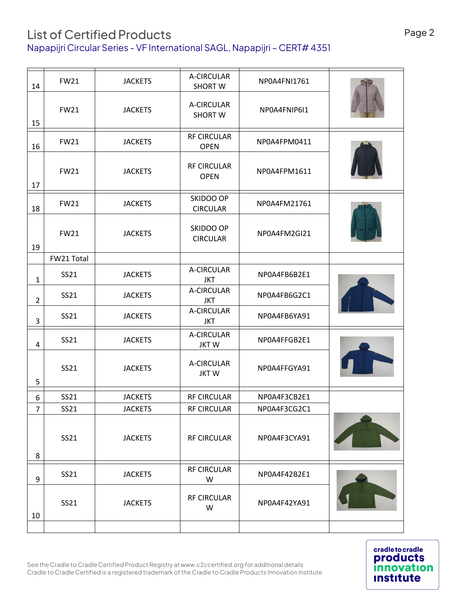## List of Certified Products Napapijri Circular Series - VF International SAGL, Napapijri – CERT# 4351

| 14             | <b>FW21</b> | <b>JACKETS</b> | A-CIRCULAR<br><b>SHORT W</b>      | NP0A4FNI1761 |  |
|----------------|-------------|----------------|-----------------------------------|--------------|--|
| 15             | <b>FW21</b> | <b>JACKETS</b> | A-CIRCULAR<br><b>SHORT W</b>      | NP0A4FNIP6I1 |  |
| 16             | <b>FW21</b> | <b>JACKETS</b> | <b>RF CIRCULAR</b><br><b>OPEN</b> | NP0A4FPM0411 |  |
| 17             | <b>FW21</b> | <b>JACKETS</b> | RF CIRCULAR<br><b>OPEN</b>        | NP0A4FPM1611 |  |
| 18             | <b>FW21</b> | <b>JACKETS</b> | SKIDOO OP<br><b>CIRCULAR</b>      | NP0A4FM21761 |  |
| 19             | <b>FW21</b> | <b>JACKETS</b> | SKIDOO OP<br><b>CIRCULAR</b>      | NP0A4FM2GI21 |  |
|                | FW21 Total  |                |                                   |              |  |
| $\mathbf{1}$   | SS21        | <b>JACKETS</b> | A-CIRCULAR<br><b>JKT</b>          | NP0A4FB6B2E1 |  |
| $\overline{2}$ | SS21        | <b>JACKETS</b> | A-CIRCULAR<br><b>JKT</b>          | NP0A4FB6G2C1 |  |
| 3              | SS21        | <b>JACKETS</b> | A-CIRCULAR<br><b>JKT</b>          | NP0A4FB6YA91 |  |
| $\overline{a}$ | SS21        | <b>JACKETS</b> | A-CIRCULAR<br><b>JKTW</b>         | NP0A4FFGB2E1 |  |
| 5              | SS21        | <b>JACKETS</b> | A-CIRCULAR<br><b>JKTW</b>         | NP0A4FFGYA91 |  |
| 6              | SS21        | <b>JACKETS</b> | <b>RF CIRCULAR</b>                | NP0A4F3CB2E1 |  |
| 7              | SS21        | <b>JACKETS</b> | RF CIRCULAR                       | NP0A4F3CG2C1 |  |
| 8              | SS21        | <b>JACKETS</b> | <b>RF CIRCULAR</b>                | NP0A4F3CYA91 |  |
| 9              | SS21        | <b>JACKETS</b> | RF CIRCULAR<br>W                  | NP0A4F42B2E1 |  |
| 10             | SS21        | <b>JACKETS</b> | <b>RF CIRCULAR</b><br>W           | NP0A4F42YA91 |  |
|                |             |                |                                   |              |  |
|                |             |                |                                   |              |  |

**cradle to cradle products innovation Institute**